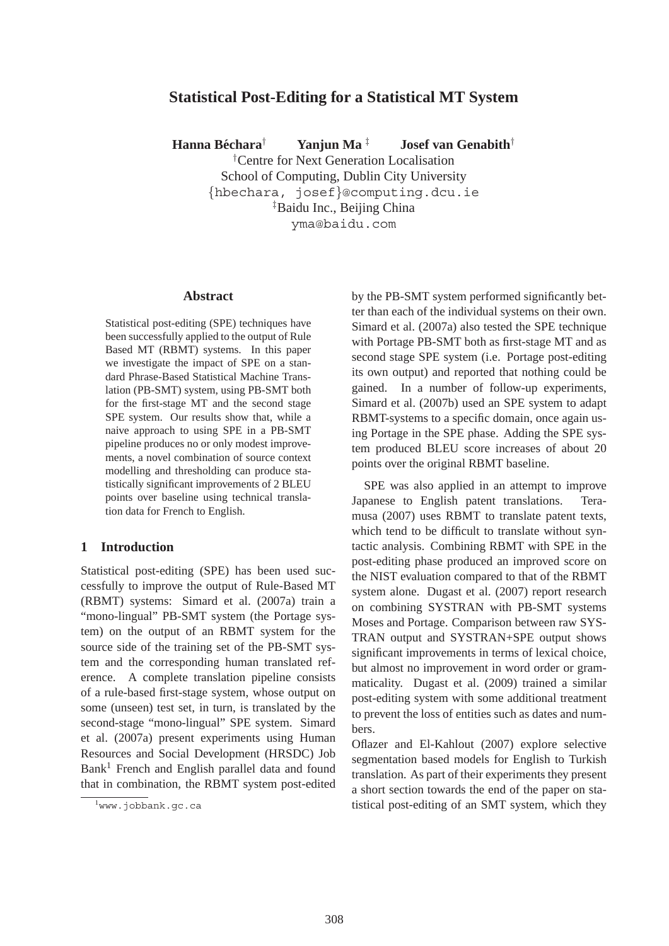# **Statistical Post-Editing for a Statistical MT System**

**Hanna Bechara ´** † **Yanjun Ma** ‡ **Josef van Genabith**†

† Centre for Next Generation Localisation School of Computing, Dublin City University {hbechara, josef}@computing.dcu.ie ‡ Baidu Inc., Beijing China yma@baidu.com

#### **Abstract**

Statistical post-editing (SPE) techniques have been successfully applied to the output of Rule Based MT (RBMT) systems. In this paper we investigate the impact of SPE on a standard Phrase-Based Statistical Machine Translation (PB-SMT) system, using PB-SMT both for the first-stage MT and the second stage SPE system. Our results show that, while a naive approach to using SPE in a PB-SMT pipeline produces no or only modest improvements, a novel combination of source context modelling and thresholding can produce statistically significant improvements of 2 BLEU points over baseline using technical translation data for French to English.

### **1 Introduction**

Statistical post-editing (SPE) has been used successfully to improve the output of Rule-Based MT (RBMT) systems: Simard et al. (2007a) train a "mono-lingual" PB-SMT system (the Portage system) on the output of an RBMT system for the source side of the training set of the PB-SMT system and the corresponding human translated reference. A complete translation pipeline consists of a rule-based first-stage system, whose output on some (unseen) test set, in turn, is translated by the second-stage "mono-lingual" SPE system. Simard et al. (2007a) present experiments using Human Resources and Social Development (HRSDC) Job  $Bank<sup>1</sup>$  French and English parallel data and found that in combination, the RBMT system post-edited by the PB-SMT system performed significantly better than each of the individual systems on their own. Simard et al. (2007a) also tested the SPE technique with Portage PB-SMT both as first-stage MT and as second stage SPE system (i.e. Portage post-editing its own output) and reported that nothing could be gained. In a number of follow-up experiments, Simard et al. (2007b) used an SPE system to adapt RBMT-systems to a specific domain, once again using Portage in the SPE phase. Adding the SPE system produced BLEU score increases of about 20 points over the original RBMT baseline.

SPE was also applied in an attempt to improve Japanese to English patent translations. Teramusa (2007) uses RBMT to translate patent texts, which tend to be difficult to translate without syntactic analysis. Combining RBMT with SPE in the post-editing phase produced an improved score on the NIST evaluation compared to that of the RBMT system alone. Dugast et al. (2007) report research on combining SYSTRAN with PB-SMT systems Moses and Portage. Comparison between raw SYS-TRAN output and SYSTRAN+SPE output shows significant improvements in terms of lexical choice, but almost no improvement in word order or grammaticality. Dugast et al. (2009) trained a similar post-editing system with some additional treatment to prevent the loss of entities such as dates and numbers.

Oflazer and El-Kahlout (2007) explore selective segmentation based models for English to Turkish translation. As part of their experiments they present a short section towards the end of the paper on statistical post-editing of an SMT system, which they

<sup>1</sup> www.jobbank.gc.ca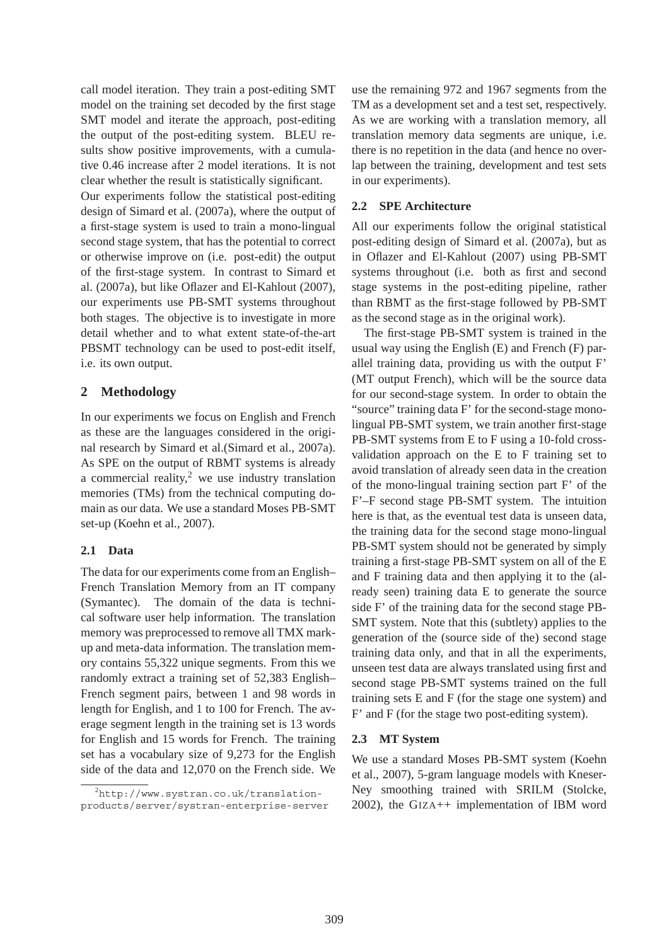call model iteration. They train a post-editing SMT model on the training set decoded by the first stage SMT model and iterate the approach, post-editing the output of the post-editing system. BLEU results show positive improvements, with a cumulative 0.46 increase after 2 model iterations. It is not clear whether the result is statistically significant.

Our experiments follow the statistical post-editing design of Simard et al. (2007a), where the output of a first-stage system is used to train a mono-lingual second stage system, that has the potential to correct or otherwise improve on (i.e. post-edit) the output of the first-stage system. In contrast to Simard et al. (2007a), but like Oflazer and El-Kahlout (2007), our experiments use PB-SMT systems throughout both stages. The objective is to investigate in more detail whether and to what extent state-of-the-art PBSMT technology can be used to post-edit itself, i.e. its own output.

# **2 Methodology**

In our experiments we focus on English and French as these are the languages considered in the original research by Simard et al.(Simard et al., 2007a). As SPE on the output of RBMT systems is already a commercial reality, $^2$  we use industry translation memories (TMs) from the technical computing domain as our data. We use a standard Moses PB-SMT set-up (Koehn et al., 2007).

# **2.1 Data**

The data for our experiments come from an English– French Translation Memory from an IT company (Symantec). The domain of the data is technical software user help information. The translation memory was preprocessed to remove all TMX markup and meta-data information. The translation memory contains 55,322 unique segments. From this we randomly extract a training set of 52,383 English– French segment pairs, between 1 and 98 words in length for English, and 1 to 100 for French. The average segment length in the training set is 13 words for English and 15 words for French. The training set has a vocabulary size of 9,273 for the English side of the data and 12,070 on the French side. We

use the remaining 972 and 1967 segments from the TM as a development set and a test set, respectively. As we are working with a translation memory, all translation memory data segments are unique, i.e. there is no repetition in the data (and hence no overlap between the training, development and test sets in our experiments).

# **2.2 SPE Architecture**

All our experiments follow the original statistical post-editing design of Simard et al. (2007a), but as in Oflazer and El-Kahlout (2007) using PB-SMT systems throughout (i.e. both as first and second stage systems in the post-editing pipeline, rather than RBMT as the first-stage followed by PB-SMT as the second stage as in the original work).

The first-stage PB-SMT system is trained in the usual way using the English (E) and French (F) parallel training data, providing us with the output F' (MT output French), which will be the source data for our second-stage system. In order to obtain the "source" training data F' for the second-stage monolingual PB-SMT system, we train another first-stage PB-SMT systems from E to F using a 10-fold crossvalidation approach on the E to F training set to avoid translation of already seen data in the creation of the mono-lingual training section part F' of the F'–F second stage PB-SMT system. The intuition here is that, as the eventual test data is unseen data, the training data for the second stage mono-lingual PB-SMT system should not be generated by simply training a first-stage PB-SMT system on all of the E and F training data and then applying it to the (already seen) training data E to generate the source side F' of the training data for the second stage PB-SMT system. Note that this (subtlety) applies to the generation of the (source side of the) second stage training data only, and that in all the experiments, unseen test data are always translated using first and second stage PB-SMT systems trained on the full training sets E and F (for the stage one system) and F' and F (for the stage two post-editing system).

# **2.3 MT System**

We use a standard Moses PB-SMT system (Koehn et al., 2007), 5-gram language models with Kneser-Ney smoothing trained with SRILM (Stolcke, 2002), the GIZA++ implementation of IBM word

<sup>2</sup> http://www.systran.co.uk/translationproducts/server/systran-enterprise-server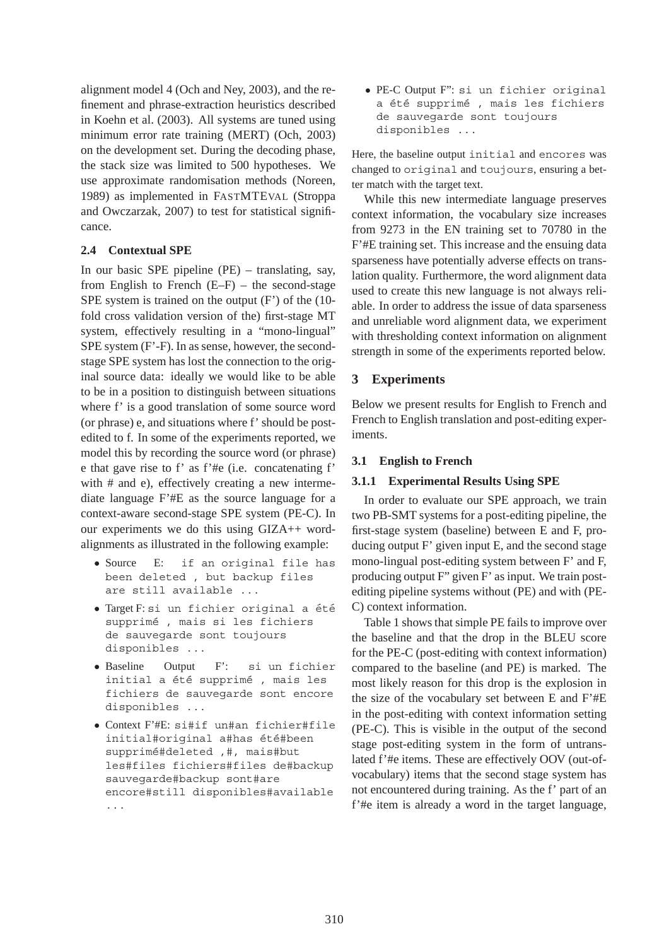alignment model 4 (Och and Ney, 2003), and the refinement and phrase-extraction heuristics described in Koehn et al. (2003). All systems are tuned using minimum error rate training (MERT) (Och, 2003) on the development set. During the decoding phase, the stack size was limited to 500 hypotheses. We use approximate randomisation methods (Noreen, 1989) as implemented in FASTMTEVAL (Stroppa and Owczarzak, 2007) to test for statistical significance.

### **2.4 Contextual SPE**

In our basic SPE pipeline (PE) – translating, say, from English to French  $(E-F)$  – the second-stage SPE system is trained on the output (F') of the (10 fold cross validation version of the) first-stage MT system, effectively resulting in a "mono-lingual" SPE system (F'-F). In as sense, however, the secondstage SPE system has lost the connection to the original source data: ideally we would like to be able to be in a position to distinguish between situations where f' is a good translation of some source word (or phrase) e, and situations where f' should be postedited to f. In some of the experiments reported, we model this by recording the source word (or phrase) e that gave rise to f' as f'#e (i.e. concatenating f' with # and e), effectively creating a new intermediate language F'#E as the source language for a context-aware second-stage SPE system (PE-C). In our experiments we do this using GIZA++ wordalignments as illustrated in the following example:

- Source E: if an original file has been deleted , but backup files are still available ...
- Target F: si un fichier original a été supprimé, mais si les fichiers de sauvegarde sont toujours disponibles ...
- Baseline Output F': si un fichier initial a été supprimé , mais les fichiers de sauvegarde sont encore disponibles ...
- Context F'#E: si#if un#an fichier#file initial#original a#has été#been supprimé#deleted ,#, mais#but les#files fichiers#files de#backup sauvegarde#backup sont#are encore#still disponibles#available ...

• PE-C Output F": si un fichier original a été supprimé, mais les fichiers de sauvegarde sont toujours disponibles ...

Here, the baseline output initial and encores was changed to original and toujours, ensuring a better match with the target text.

While this new intermediate language preserves context information, the vocabulary size increases from 9273 in the EN training set to 70780 in the F'#E training set. This increase and the ensuing data sparseness have potentially adverse effects on translation quality. Furthermore, the word alignment data used to create this new language is not always reliable. In order to address the issue of data sparseness and unreliable word alignment data, we experiment with thresholding context information on alignment strength in some of the experiments reported below.

# **3 Experiments**

Below we present results for English to French and French to English translation and post-editing experiments.

### **3.1 English to French**

#### **3.1.1 Experimental Results Using SPE**

In order to evaluate our SPE approach, we train two PB-SMT systems for a post-editing pipeline, the first-stage system (baseline) between E and F, producing output F' given input E, and the second stage mono-lingual post-editing system between F' and F, producing output F" given F' as input. We train postediting pipeline systems without (PE) and with (PE-C) context information.

Table 1 shows that simple PE fails to improve over the baseline and that the drop in the BLEU score for the PE-C (post-editing with context information) compared to the baseline (and PE) is marked. The most likely reason for this drop is the explosion in the size of the vocabulary set between E and F'#E in the post-editing with context information setting (PE-C). This is visible in the output of the second stage post-editing system in the form of untranslated f'#e items. These are effectively OOV (out-ofvocabulary) items that the second stage system has not encountered during training. As the f' part of an f'#e item is already a word in the target language,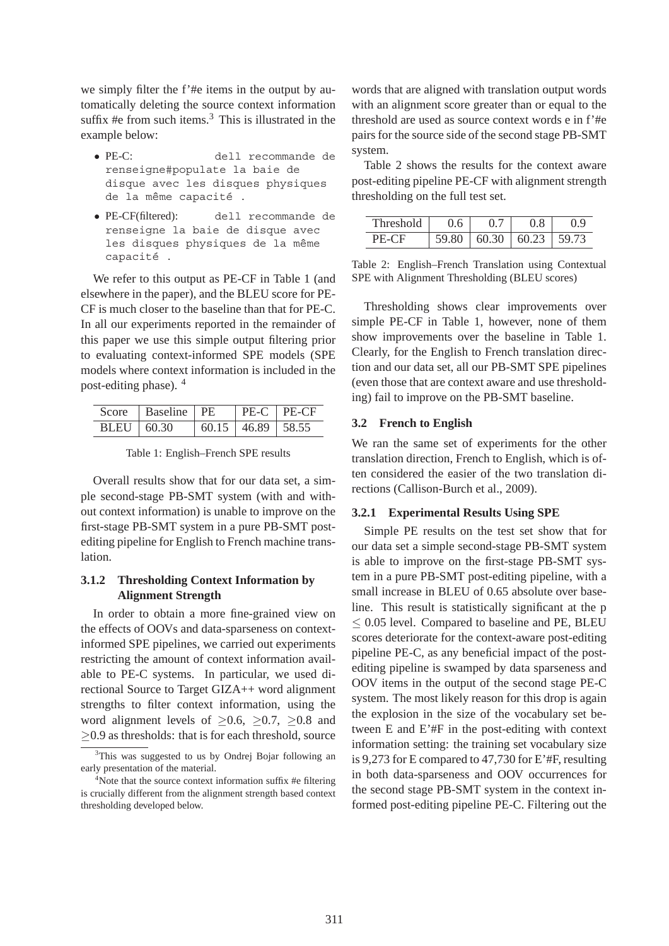we simply filter the f'#e items in the output by automatically deleting the source context information suffix #e from such items. $3$  This is illustrated in the example below:

- PE-C: dell recommande de renseigne#populate la baie de disque avec les disques physiques de la même capacité.
- PE-CF(filtered): dell recommande de renseigne la baie de disque avec les disques physiques de la même capacité.

We refer to this output as PE-CF in Table 1 (and elsewhere in the paper), and the BLEU score for PE-CF is much closer to the baseline than that for PE-C. In all our experiments reported in the remainder of this paper we use this simple output filtering prior to evaluating context-informed SPE models (SPE models where context information is included in the post-editing phase). <sup>4</sup>

|              | Score   Baseline   PE |                               | $\vert$ PE-C $\vert$ PE-CF |
|--------------|-----------------------|-------------------------------|----------------------------|
| BLEU   60.30 |                       | $\vert$ 60.15   46.89   58.55 |                            |

Table 1: English–French SPE results

Overall results show that for our data set, a simple second-stage PB-SMT system (with and without context information) is unable to improve on the first-stage PB-SMT system in a pure PB-SMT postediting pipeline for English to French machine translation.

# **3.1.2 Thresholding Context Information by Alignment Strength**

In order to obtain a more fine-grained view on the effects of OOVs and data-sparseness on contextinformed SPE pipelines, we carried out experiments restricting the amount of context information available to PE-C systems. In particular, we used directional Source to Target GIZA++ word alignment strengths to filter context information, using the word alignment levels of  $\geq 0.6$ ,  $\geq 0.7$ ,  $\geq 0.8$  and  $\geq$ 0.9 as thresholds: that is for each threshold, source

words that are aligned with translation output words with an alignment score greater than or equal to the threshold are used as source context words e in f'#e pairs for the source side of the second stage PB-SMT system.

Table 2 shows the results for the context aware post-editing pipeline PE-CF with alignment strength thresholding on the full test set.

| 1d     |       |       |      |
|--------|-------|-------|------|
| 6 ' L' | 60.30 | 60.23 | 79/4 |

Table 2: English–French Translation using Contextual SPE with Alignment Thresholding (BLEU scores)

Thresholding shows clear improvements over simple PE-CF in Table 1, however, none of them show improvements over the baseline in Table 1. Clearly, for the English to French translation direction and our data set, all our PB-SMT SPE pipelines (even those that are context aware and use thresholding) fail to improve on the PB-SMT baseline.

# **3.2 French to English**

We ran the same set of experiments for the other translation direction, French to English, which is often considered the easier of the two translation directions (Callison-Burch et al., 2009).

# **3.2.1 Experimental Results Using SPE**

Simple PE results on the test set show that for our data set a simple second-stage PB-SMT system is able to improve on the first-stage PB-SMT system in a pure PB-SMT post-editing pipeline, with a small increase in BLEU of 0.65 absolute over baseline. This result is statistically significant at the p  $<$  0.05 level. Compared to baseline and PE, BLEU scores deteriorate for the context-aware post-editing pipeline PE-C, as any beneficial impact of the postediting pipeline is swamped by data sparseness and OOV items in the output of the second stage PE-C system. The most likely reason for this drop is again the explosion in the size of the vocabulary set between E and E'#F in the post-editing with context information setting: the training set vocabulary size is 9,273 for E compared to 47,730 for E'#F, resulting in both data-sparseness and OOV occurrences for the second stage PB-SMT system in the context informed post-editing pipeline PE-C. Filtering out the

<sup>&</sup>lt;sup>3</sup>This was suggested to us by Ondrej Bojar following an early presentation of the material.

<sup>&</sup>lt;sup>4</sup>Note that the source context information suffix #e filtering is crucially different from the alignment strength based context thresholding developed below.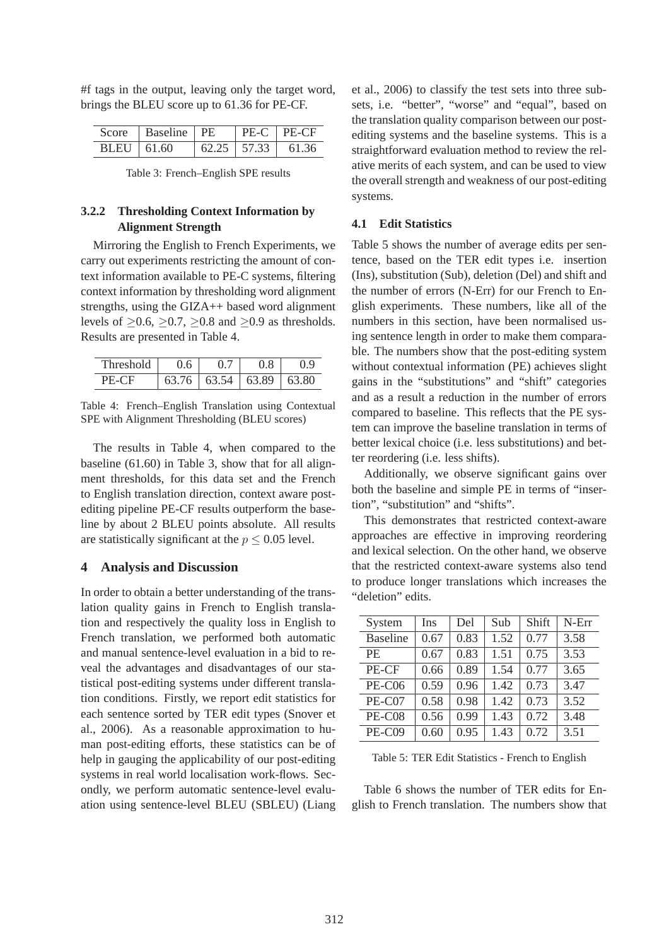#f tags in the output, leaving only the target word, brings the BLEU score up to 61.36 for PE-CF.

|            | Score   Baseline   PE |  | $\mid$ PE-C $\mid$ PE-CF      |
|------------|-----------------------|--|-------------------------------|
| BLEU 61.60 |                       |  | $62.25 \mid 57.33 \mid 61.36$ |

Table 3: French–English SPE results

# **3.2.2 Thresholding Context Information by Alignment Strength**

Mirroring the English to French Experiments, we carry out experiments restricting the amount of context information available to PE-C systems, filtering context information by thresholding word alignment strengths, using the GIZA++ based word alignment levels of  $\geq 0.6$ ,  $\geq 0.7$ ,  $\geq 0.8$  and  $\geq 0.9$  as thresholds. Results are presented in Table 4.

| Threshold | 0.6 | O.                            |       |
|-----------|-----|-------------------------------|-------|
|           |     | $63.76 \mid 63.54 \mid 63.89$ | 63.80 |

Table 4: French–English Translation using Contextual SPE with Alignment Thresholding (BLEU scores)

The results in Table 4, when compared to the baseline (61.60) in Table 3, show that for all alignment thresholds, for this data set and the French to English translation direction, context aware postediting pipeline PE-CF results outperform the baseline by about 2 BLEU points absolute. All results are statistically significant at the  $p \leq 0.05$  level.

### **4 Analysis and Discussion**

In order to obtain a better understanding of the translation quality gains in French to English translation and respectively the quality loss in English to French translation, we performed both automatic and manual sentence-level evaluation in a bid to reveal the advantages and disadvantages of our statistical post-editing systems under different translation conditions. Firstly, we report edit statistics for each sentence sorted by TER edit types (Snover et al., 2006). As a reasonable approximation to human post-editing efforts, these statistics can be of help in gauging the applicability of our post-editing systems in real world localisation work-flows. Secondly, we perform automatic sentence-level evaluation using sentence-level BLEU (SBLEU) (Liang et al., 2006) to classify the test sets into three subsets, i.e. "better", "worse" and "equal", based on the translation quality comparison between our postediting systems and the baseline systems. This is a straightforward evaluation method to review the relative merits of each system, and can be used to view the overall strength and weakness of our post-editing systems.

#### **4.1 Edit Statistics**

Table 5 shows the number of average edits per sentence, based on the TER edit types i.e. insertion (Ins), substitution (Sub), deletion (Del) and shift and the number of errors (N-Err) for our French to English experiments. These numbers, like all of the numbers in this section, have been normalised using sentence length in order to make them comparable. The numbers show that the post-editing system without contextual information (PE) achieves slight gains in the "substitutions" and "shift" categories and as a result a reduction in the number of errors compared to baseline. This reflects that the PE system can improve the baseline translation in terms of better lexical choice (i.e. less substitutions) and better reordering (i.e. less shifts).

Additionally, we observe significant gains over both the baseline and simple PE in terms of "insertion", "substitution" and "shifts".

This demonstrates that restricted context-aware approaches are effective in improving reordering and lexical selection. On the other hand, we observe that the restricted context-aware systems also tend to produce longer translations which increases the "deletion" edits.

| System          | Ins  | Del  | Sub  | Shift | N-Err |
|-----------------|------|------|------|-------|-------|
| <b>Baseline</b> | 0.67 | 0.83 | 1.52 | 0.77  | 3.58  |
| <b>PE</b>       | 0.67 | 0.83 | 1.51 | 0.75  | 3.53  |
| PE-CF           | 0.66 | 0.89 | 1.54 | 0.77  | 3.65  |
| <b>PE-C06</b>   | 0.59 | 0.96 | 1.42 | 0.73  | 3.47  |
| PE-C07          | 0.58 | 0.98 | 1.42 | 0.73  | 3.52  |
| PE-C08          | 0.56 | 0.99 | 1.43 | 0.72  | 3.48  |
| PE-C09          | 0.60 | 0.95 | 1.43 | 0.72  | 3.51  |

Table 5: TER Edit Statistics - French to English

Table 6 shows the number of TER edits for English to French translation. The numbers show that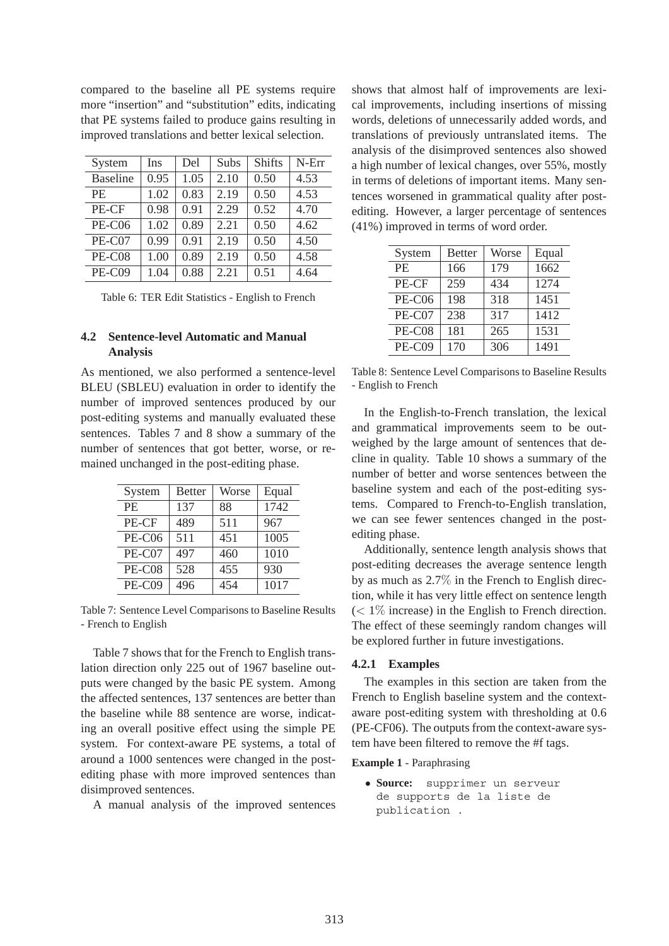compared to the baseline all PE systems require more "insertion" and "substitution" edits, indicating that PE systems failed to produce gains resulting in improved translations and better lexical selection.

| System          | Ins  | Del  | Subs | <b>Shifts</b> | N-Err |
|-----------------|------|------|------|---------------|-------|
| <b>Baseline</b> | 0.95 | 1.05 | 2.10 | 0.50          | 4.53  |
| PF.             | 1.02 | 0.83 | 2.19 | 0.50          | 4.53  |
| PE-CF           | 0.98 | 0.91 | 2.29 | 0.52          | 4.70  |
| <b>PE-C06</b>   | 1.02 | 0.89 | 2.21 | 0.50          | 4.62  |
| PE-C07          | 0.99 | 0.91 | 2.19 | 0.50          | 4.50  |
| PE-C08          | 1.00 | 0.89 | 2.19 | 0.50          | 4.58  |
| <b>PE-C09</b>   | 1.04 | 0.88 | 2.21 | 0.51          | 4.64  |

Table 6: TER Edit Statistics - English to French

# **4.2 Sentence-level Automatic and Manual Analysis**

As mentioned, we also performed a sentence-level BLEU (SBLEU) evaluation in order to identify the number of improved sentences produced by our post-editing systems and manually evaluated these sentences. Tables 7 and 8 show a summary of the number of sentences that got better, worse, or remained unchanged in the post-editing phase.

| System        | <b>Better</b> | Worse | Equal |
|---------------|---------------|-------|-------|
| <b>PE</b>     | 137           | 88    | 1742  |
| PE-CF         | 489           | 511   | 967   |
| <b>PE-C06</b> | 511           | 451   | 1005  |
| PE-C07        | 497           | 460   | 1010  |
| PE-C08        | 528           | 455   | 930   |
| PE-C09        | 496           | 454   | 1017  |

Table 7: Sentence Level Comparisons to Baseline Results - French to English

Table 7 shows that for the French to English translation direction only 225 out of 1967 baseline outputs were changed by the basic PE system. Among the affected sentences, 137 sentences are better than the baseline while 88 sentence are worse, indicating an overall positive effect using the simple PE system. For context-aware PE systems, a total of around a 1000 sentences were changed in the postediting phase with more improved sentences than disimproved sentences.

A manual analysis of the improved sentences

shows that almost half of improvements are lexical improvements, including insertions of missing words, deletions of unnecessarily added words, and translations of previously untranslated items. The analysis of the disimproved sentences also showed a high number of lexical changes, over 55%, mostly in terms of deletions of important items. Many sentences worsened in grammatical quality after postediting. However, a larger percentage of sentences (41%) improved in terms of word order.

| System        | <b>Better</b> | Worse | Equal |
|---------------|---------------|-------|-------|
| PE.           | 166           | 179   | 1662  |
| PE-CF         | 259           | 434   | 1274  |
| <b>PE-C06</b> | 198           | 318   | 1451  |
| PE-C07        | 238           | 317   | 1412  |
| PE-C08        | 181           | 265   | 1531  |
| PE-C09        | 170           | 306   | 1491  |

Table 8: Sentence Level Comparisons to Baseline Results - English to French

In the English-to-French translation, the lexical and grammatical improvements seem to be outweighed by the large amount of sentences that decline in quality. Table 10 shows a summary of the number of better and worse sentences between the baseline system and each of the post-editing systems. Compared to French-to-English translation, we can see fewer sentences changed in the postediting phase.

Additionally, sentence length analysis shows that post-editing decreases the average sentence length by as much as 2.7% in the French to English direction, while it has very little effect on sentence length  $(< 1\%$  increase) in the English to French direction. The effect of these seemingly random changes will be explored further in future investigations.

#### **4.2.1 Examples**

The examples in this section are taken from the French to English baseline system and the contextaware post-editing system with thresholding at 0.6 (PE-CF06). The outputs from the context-aware system have been filtered to remove the #f tags.

**Example 1** - Paraphrasing

• **Source:** supprimer un serveur de supports de la liste de publication .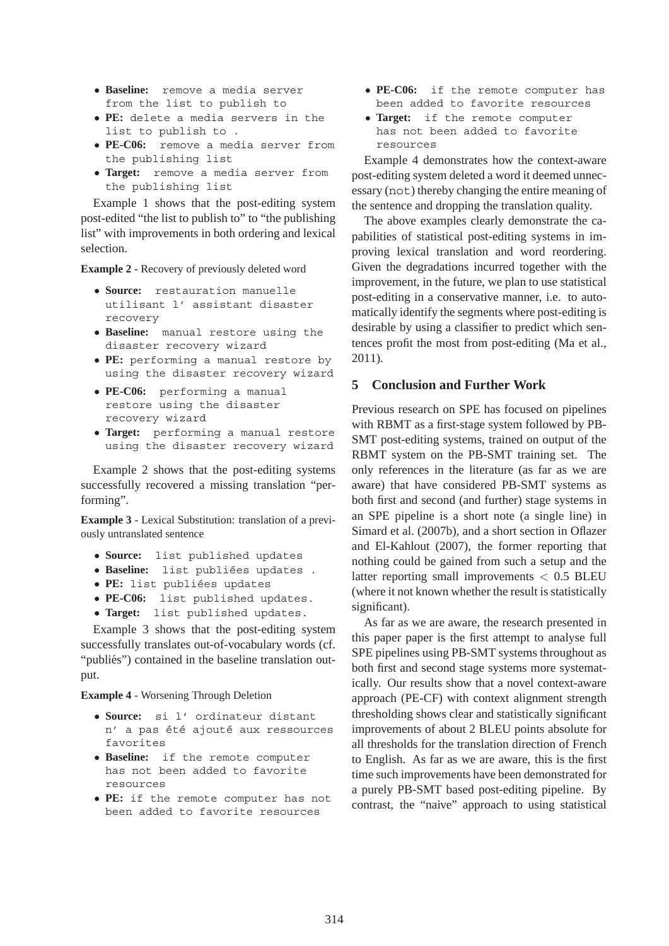- **Baseline:** remove a media server from the list to publish to
- **PE:** delete a media servers in the list to publish to .
- **PE-C06:** remove a media server from the publishing list
- **Target:** remove a media server from the publishing list

Example 1 shows that the post-editing system post-edited "the list to publish to" to "the publishing list" with improvements in both ordering and lexical selection.

**Example 2** - Recovery of previously deleted word

- **Source:** restauration manuelle utilisant l' assistant disaster recovery
- **Baseline:** manual restore using the disaster recovery wizard
- **PE:** performing a manual restore by using the disaster recovery wizard
- **PE-C06:** performing a manual restore using the disaster recovery wizard
- **Target:** performing a manual restore using the disaster recovery wizard

Example 2 shows that the post-editing systems successfully recovered a missing translation "performing".

**Example 3** - Lexical Substitution: translation of a previously untranslated sentence

- **Source:** list published updates
- **Baseline:** list publiées updates .
- **PE:** list publiées updates
- **PE-C06:** list published updates.
- **Target:** list published updates.

Example 3 shows that the post-editing system successfully translates out-of-vocabulary words (cf. "publiés") contained in the baseline translation output.

**Example 4** - Worsening Through Deletion

- **Source:** si l' ordinateur distant n' a pas été ajouté aux ressources favorites
- **Baseline:** if the remote computer has not been added to favorite resources
- **PE:** if the remote computer has not been added to favorite resources
- **PE-C06:** if the remote computer has been added to favorite resources
- **Target:** if the remote computer has not been added to favorite resources

Example 4 demonstrates how the context-aware post-editing system deleted a word it deemed unnecessary (not) thereby changing the entire meaning of the sentence and dropping the translation quality.

The above examples clearly demonstrate the capabilities of statistical post-editing systems in improving lexical translation and word reordering. Given the degradations incurred together with the improvement, in the future, we plan to use statistical post-editing in a conservative manner, i.e. to automatically identify the segments where post-editing is desirable by using a classifier to predict which sentences profit the most from post-editing (Ma et al., 2011).

### **5 Conclusion and Further Work**

Previous research on SPE has focused on pipelines with RBMT as a first-stage system followed by PB-SMT post-editing systems, trained on output of the RBMT system on the PB-SMT training set. The only references in the literature (as far as we are aware) that have considered PB-SMT systems as both first and second (and further) stage systems in an SPE pipeline is a short note (a single line) in Simard et al. (2007b), and a short section in Oflazer and El-Kahlout (2007), the former reporting that nothing could be gained from such a setup and the latter reporting small improvements < 0.5 BLEU (where it not known whether the result is statistically significant).

As far as we are aware, the research presented in this paper paper is the first attempt to analyse full SPE pipelines using PB-SMT systems throughout as both first and second stage systems more systematically. Our results show that a novel context-aware approach (PE-CF) with context alignment strength thresholding shows clear and statistically significant improvements of about 2 BLEU points absolute for all thresholds for the translation direction of French to English. As far as we are aware, this is the first time such improvements have been demonstrated for a purely PB-SMT based post-editing pipeline. By contrast, the "naive" approach to using statistical